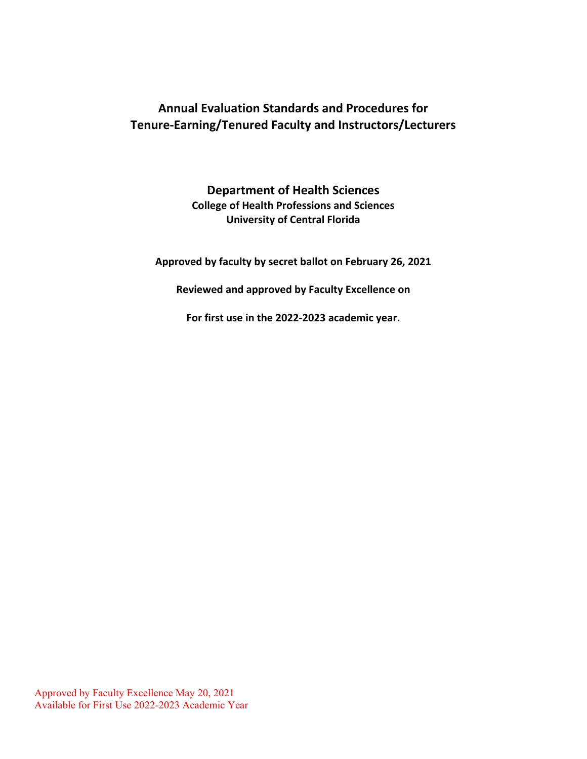# **Annual Evaluation Standards and Procedures for Tenure-Earning/Tenured Faculty and Instructors/Lecturers**

**Department of Health Sciences College of Health Professions and Sciences University of Central Florida**

**Approved by faculty by secret ballot on February 26, 2021**

**Reviewed and approved by Faculty Excellence on** 

**For first use in the 2022-2023 academic year.**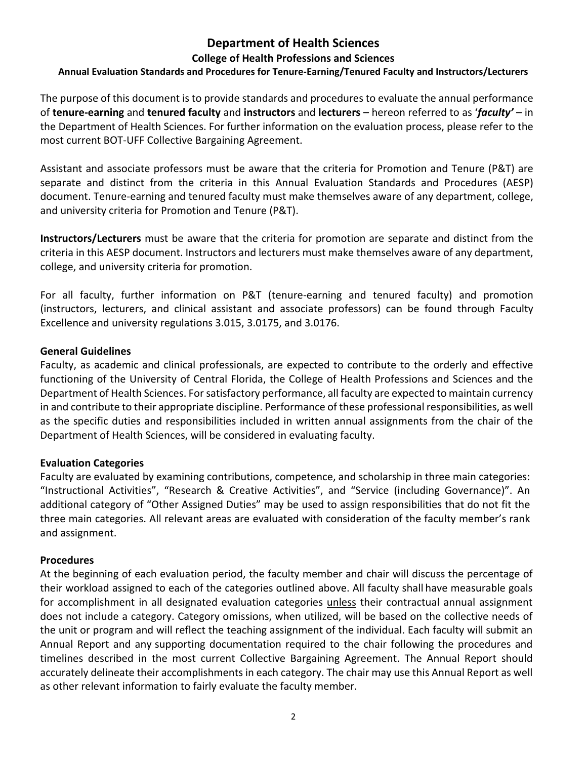## **Department of Health Sciences**

### **College of Health Professions and Sciences**

### **Annual Evaluation Standards and Procedures for Tenure-Earning/Tenured Faculty and Instructors/Lecturers**

The purpose of this document is to provide standards and procedures to evaluate the annual performance of **tenure-earning** and **tenured faculty** and **instructors** and **lecturers** – hereon referred to as '*faculty'* – in the Department of Health Sciences. For further information on the evaluation process, please refer to the most current BOT-UFF Collective Bargaining Agreement.

Assistant and associate professors must be aware that the criteria for Promotion and Tenure (P&T) are separate and distinct from the criteria in this Annual Evaluation Standards and Procedures (AESP) document. Tenure-earning and tenured faculty must make themselves aware of any department, college, and university criteria for Promotion and Tenure (P&T).

**Instructors/Lecturers** must be aware that the criteria for promotion are separate and distinct from the criteria in this AESP document. Instructors and lecturers must make themselves aware of any department, college, and university criteria for promotion.

For all faculty, further information on P&T (tenure-earning and tenured faculty) and promotion (instructors, lecturers, and clinical assistant and associate professors) can be found through Faculty Excellence and university regulations 3.015, 3.0175, and 3.0176.

#### **General Guidelines**

Faculty, as academic and clinical professionals, are expected to contribute to the orderly and effective functioning of the University of Central Florida, the College of Health Professions and Sciences and the Department of Health Sciences. For satisfactory performance, all faculty are expected to maintain currency in and contribute to their appropriate discipline. Performance of these professional responsibilities, as well as the specific duties and responsibilities included in written annual assignments from the chair of the Department of Health Sciences, will be considered in evaluating faculty.

### **Evaluation Categories**

Faculty are evaluated by examining contributions, competence, and scholarship in three main categories: "Instructional Activities", "Research & Creative Activities", and "Service (including Governance)". An additional category of "Other Assigned Duties" may be used to assign responsibilities that do not fit the three main categories. All relevant areas are evaluated with consideration of the faculty member's rank and assignment.

### **Procedures**

At the beginning of each evaluation period, the faculty member and chair will discuss the percentage of their workload assigned to each of the categories outlined above. All faculty shall have measurable goals for accomplishment in all designated evaluation categories unless their contractual annual assignment does not include a category. Category omissions, when utilized, will be based on the collective needs of the unit or program and will reflect the teaching assignment of the individual. Each faculty will submit an Annual Report and any supporting documentation required to the chair following the procedures and timelines described in the most current Collective Bargaining Agreement. The Annual Report should accurately delineate their accomplishments in each category. The chair may use this Annual Report as well as other relevant information to fairly evaluate the faculty member.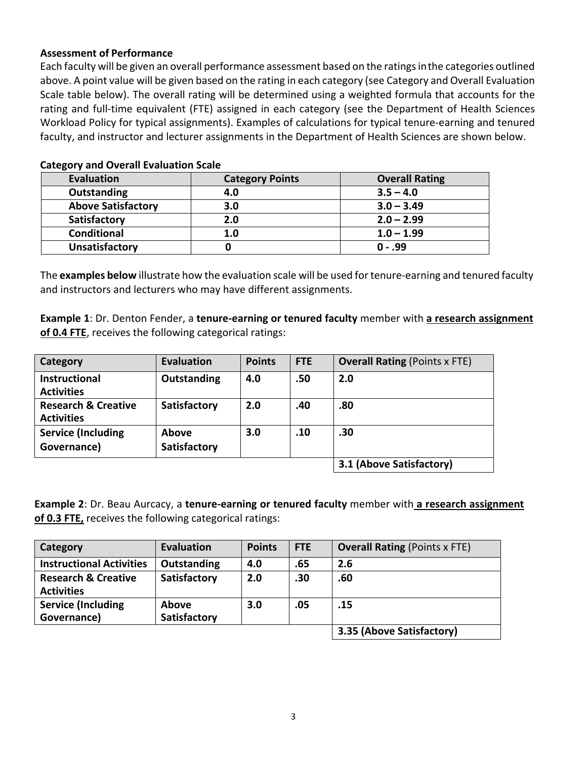### **Assessment of Performance**

Each faculty will be given an overall performance assessment based on the ratings inthe categories outlined above. A point value will be given based on the rating in each category (see Category and Overall Evaluation Scale table below). The overall rating will be determined using a weighted formula that accounts for the rating and full-time equivalent (FTE) assigned in each category (see the Department of Health Sciences Workload Policy for typical assignments). Examples of calculations for typical tenure-earning and tenured faculty, and instructor and lecturer assignments in the Department of Health Sciences are shown below.

| <b>Evaluation</b>         | <b>Category Points</b> | <b>Overall Rating</b> |  |  |  |
|---------------------------|------------------------|-----------------------|--|--|--|
| Outstanding               | 4.0                    | $3.5 - 4.0$           |  |  |  |
| <b>Above Satisfactory</b> | 3.0                    | $3.0 - 3.49$          |  |  |  |
| Satisfactory              | 2.0                    | $2.0 - 2.99$          |  |  |  |
| <b>Conditional</b>        | 1.0                    | $1.0 - 1.99$          |  |  |  |
| <b>Unsatisfactory</b>     |                        | $0 - .99$             |  |  |  |

### **Category and Overall Evaluation Scale**

The **examples below** illustrate how the evaluation scale will be used for tenure-earning and tenured faculty and instructors and lecturers who may have different assignments.

**Example 1**: Dr. Denton Fender, a **tenure-earning or tenured faculty** member with **a research assignment of 0.4 FTE**, receives the following categorical ratings:

| Category                                            | <b>Evaluation</b>            | <b>Points</b> | <b>FTE</b> | <b>Overall Rating (Points x FTE)</b> |
|-----------------------------------------------------|------------------------------|---------------|------------|--------------------------------------|
| <b>Instructional</b><br><b>Activities</b>           | Outstanding                  | 4.0           | .50        | 2.0                                  |
| <b>Research &amp; Creative</b><br><b>Activities</b> | <b>Satisfactory</b>          | 2.0           | .40        | .80                                  |
| <b>Service (Including</b><br>Governance)            | <b>Above</b><br>Satisfactory | 3.0           | .10        | .30                                  |
|                                                     |                              |               |            | 3.1 (Above Satisfactory)             |

**Example 2**: Dr. Beau Aurcacy, a **tenure-earning or tenured faculty** member with **a research assignment of 0.3 FTE,** receives the following categorical ratings:

| Category                                            | <b>Evaluation</b>            | <b>Points</b> | <b>FTE</b> | <b>Overall Rating (Points x FTE)</b> |
|-----------------------------------------------------|------------------------------|---------------|------------|--------------------------------------|
| <b>Instructional Activities</b>                     | Outstanding                  | 4.0           | .65        | 2.6                                  |
| <b>Research &amp; Creative</b><br><b>Activities</b> | Satisfactory                 | 2.0           | .30        | .60                                  |
| <b>Service (Including</b><br>Governance)            | <b>Above</b><br>Satisfactory | 3.0           | .05        | .15                                  |
|                                                     |                              |               |            | 3.35 (Above Satisfactory)            |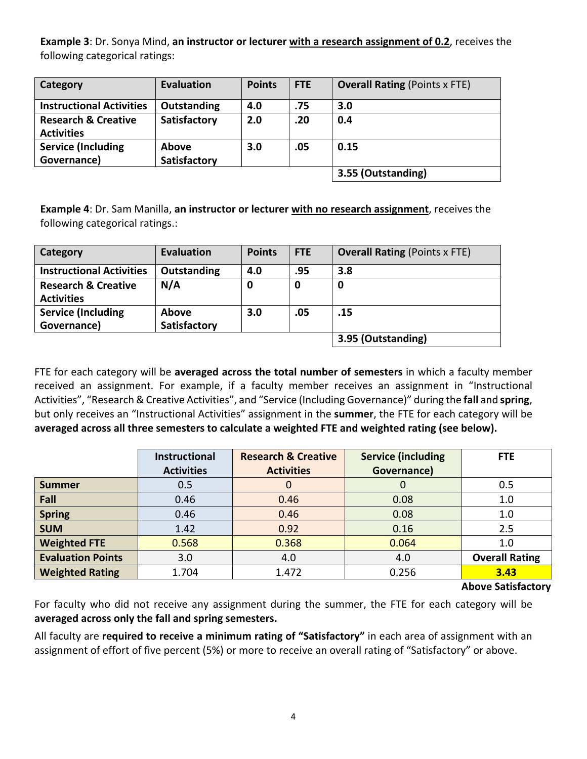**Example 3**: Dr. Sonya Mind, **an instructor or lecturer with a research assignment of 0.2**, receives the following categorical ratings:

| Category                                            | <b>Evaluation</b>            | <b>Points</b> | <b>FTE</b> | <b>Overall Rating (Points x FTE)</b> |
|-----------------------------------------------------|------------------------------|---------------|------------|--------------------------------------|
| <b>Instructional Activities</b>                     | <b>Outstanding</b>           | 4.0           | .75        | 3.0                                  |
| <b>Research &amp; Creative</b><br><b>Activities</b> | Satisfactory                 | 2.0           | .20        | 0.4                                  |
| <b>Service (Including</b><br>Governance)            | <b>Above</b><br>Satisfactory | 3.0           | .05        | 0.15                                 |
|                                                     |                              |               |            | 3.55 (Outstanding)                   |

**Example 4**: Dr. Sam Manilla, **an instructor or lecturer with no research assignment**, receives the following categorical ratings.:

| Category                                            | <b>Evaluation</b>            | <b>Points</b> | <b>FTE</b> | <b>Overall Rating (Points x FTE)</b> |
|-----------------------------------------------------|------------------------------|---------------|------------|--------------------------------------|
| <b>Instructional Activities</b>                     | Outstanding                  | 4.0           | .95        | 3.8                                  |
| <b>Research &amp; Creative</b><br><b>Activities</b> | N/A                          | 0             | 0          | 0                                    |
| <b>Service (Including</b><br>Governance)            | Above<br><b>Satisfactory</b> | 3.0           | .05        | .15                                  |
|                                                     |                              |               |            | 3.95 (Outstanding)                   |

FTE for each category will be **averaged across the total number of semesters** in which a faculty member received an assignment. For example, if a faculty member receives an assignment in "Instructional Activities", "Research & Creative Activities", and "Service (Including Governance)" during the **fall** and **spring**, but only receives an "Instructional Activities" assignment in the **summer**, the FTE for each category will be **averaged across all three semesters to calculate a weighted FTE and weighted rating (see below).**

|                          | Instructional     | <b>Research &amp; Creative</b> | <b>Service (including</b> | <b>FTE</b>            |
|--------------------------|-------------------|--------------------------------|---------------------------|-----------------------|
|                          | <b>Activities</b> | <b>Activities</b>              | Governance)               |                       |
| <b>Summer</b>            | 0.5               | 0                              | Ü                         | 0.5                   |
| Fall                     | 0.46              | 0.46                           | 0.08                      | 1.0                   |
| <b>Spring</b>            | 0.46              | 0.46                           | 0.08                      | 1.0                   |
| <b>SUM</b>               | 1.42              | 0.92                           | 0.16                      | 2.5                   |
| <b>Weighted FTE</b>      | 0.568             | 0.368                          | 0.064                     | 1.0                   |
| <b>Evaluation Points</b> | 3.0               | 4.0                            | 4.0                       | <b>Overall Rating</b> |
| <b>Weighted Rating</b>   | 1.704             | 1.472                          | 0.256                     | 3.43                  |

 **Above Satisfactory**

For faculty who did not receive any assignment during the summer, the FTE for each category will be **averaged across only the fall and spring semesters.**

All faculty are **required to receive a minimum rating of "Satisfactory"** in each area of assignment with an assignment of effort of five percent (5%) or more to receive an overall rating of "Satisfactory" or above.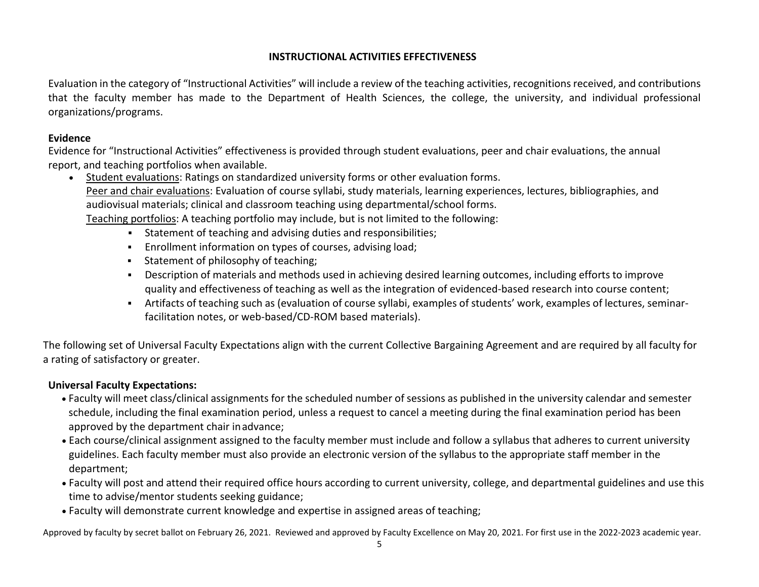### **INSTRUCTIONAL ACTIVITIES EFFECTIVENESS**

Evaluation in the category of "Instructional Activities" will include a review of the teaching activities, recognitions received, and contributions that the faculty member has made to the Department of Health Sciences, the college, the university, and individual professional organizations/programs.

### **Evidence**

Evidence for "Instructional Activities" effectiveness is provided through student evaluations, peer and chair evaluations, the annual report, and teaching portfolios when available.

- Student evaluations: Ratings on standardized university forms or other evaluation forms. Peer and chair evaluations: Evaluation of course syllabi, study materials, learning experiences, lectures, bibliographies, and audiovisual materials; clinical and classroom teaching using departmental/school forms. Teaching portfolios: A teaching portfolio may include, but is not limited to the following:
	- Statement of teaching and advising duties and responsibilities;
	- Enrollment information on types of courses, advising load;
	- **Statement of philosophy of teaching;**
	- Description of materials and methods used in achieving desired learning outcomes, including efforts to improve quality and effectiveness of teaching as well as the integration of evidenced-based research into course content;
	- Artifacts of teaching such as (evaluation of course syllabi, examples of students' work, examples of lectures, seminarfacilitation notes, or web-based/CD-ROM based materials).

The following set of Universal Faculty Expectations align with the current Collective Bargaining Agreement and are required by all faculty for a rating of satisfactory or greater.

### **Universal Faculty Expectations:**

- Faculty will meet class/clinical assignments for the scheduled number of sessions as published in the university calendar and semester schedule, including the final examination period, unless a request to cancel a meeting during the final examination period has been approved by the department chair inadvance;
- Each course/clinical assignment assigned to the faculty member must include and follow a syllabus that adheres to current university guidelines. Each faculty member must also provide an electronic version of the syllabus to the appropriate staff member in the department;
- Faculty will post and attend their required office hours according to current university, college, and departmental guidelines and use this time to advise/mentor students seeking guidance;
- Faculty will demonstrate current knowledge and expertise in assigned areas of teaching;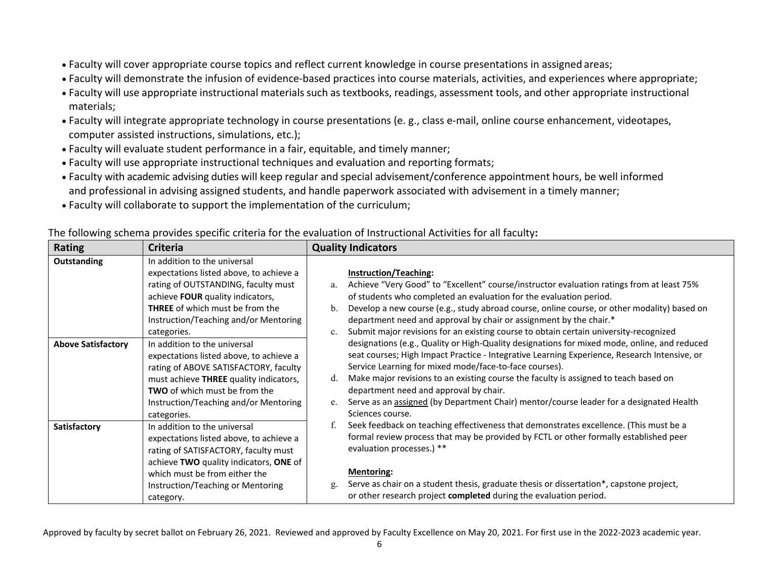- Faculty will cover appropriate course topics and reflect current knowledge in course presentations in assigned areas;
- Faculty will demonstrate the infusion of evidence-based practices into course materials, activities, and experiences where appropriate;
- Faculty will use appropriate instructional materialssuch as textbooks, readings, assessment tools, and other appropriate instructional materials;
- Faculty will integrate appropriate technology in course presentations (e. g., class e-mail, online course enhancement, videotapes, computer assisted instructions, simulations, etc.);
- Faculty will evaluate student performance in a fair, equitable, and timely manner;
- Faculty will use appropriate instructional techniques and evaluation and reporting formats;
- Faculty with academic advising duties will keep regular and special advisement/conference appointment hours, be well informed and professional in advising assigned students, and handle paperwork associated with advisement in a timely manner;
- Faculty will collaborate to support the implementation of the curriculum;

| Rating                    | <b>Criteria</b>                         |             | <b>Quality Indicators</b>                                                                    |
|---------------------------|-----------------------------------------|-------------|----------------------------------------------------------------------------------------------|
| Outstanding               | In addition to the universal            |             |                                                                                              |
|                           | expectations listed above, to achieve a |             | <b>Instruction/Teaching:</b>                                                                 |
|                           | rating of OUTSTANDING, faculty must     | a.          | Achieve "Very Good" to "Excellent" course/instructor evaluation ratings from at least 75%    |
|                           | achieve FOUR quality indicators,        |             | of students who completed an evaluation for the evaluation period.                           |
|                           | <b>THREE</b> of which must be from the  | b.          | Develop a new course (e.g., study abroad course, online course, or other modality) based on  |
|                           | Instruction/Teaching and/or Mentoring   |             | department need and approval by chair or assignment by the chair.*                           |
|                           | categories.                             | $c_{\cdot}$ | Submit major revisions for an existing course to obtain certain university-recognized        |
| <b>Above Satisfactory</b> | In addition to the universal            |             | designations (e.g., Quality or High-Quality designations for mixed mode, online, and reduced |
|                           | expectations listed above, to achieve a |             | seat courses; High Impact Practice - Integrative Learning Experience, Research Intensive, or |
|                           | rating of ABOVE SATISFACTORY, faculty   |             | Service Learning for mixed mode/face-to-face courses).                                       |
|                           | must achieve THREE quality indicators,  | $d_{\cdot}$ | Make major revisions to an existing course the faculty is assigned to teach based on         |
|                           | <b>TWO</b> of which must be from the    |             | department need and approval by chair.                                                       |
|                           | Instruction/Teaching and/or Mentoring   | e.          | Serve as an assigned (by Department Chair) mentor/course leader for a designated Health      |
|                           | categories.                             |             | Sciences course.                                                                             |
| Satisfactory              | In addition to the universal            |             | Seek feedback on teaching effectiveness that demonstrates excellence. (This must be a        |
|                           | expectations listed above, to achieve a |             | formal review process that may be provided by FCTL or other formally established peer        |
|                           | rating of SATISFACTORY, faculty must    |             | evaluation processes.) **                                                                    |
|                           | achieve TWO quality indicators, ONE of  |             |                                                                                              |
|                           | which must be from either the           |             | <b>Mentoring:</b>                                                                            |
|                           | Instruction/Teaching or Mentoring       | g.          | Serve as chair on a student thesis, graduate thesis or dissertation*, capstone project,      |
|                           | category.                               |             | or other research project completed during the evaluation period.                            |

The following schema provides specific criteria for the evaluation of Instructional Activities for all faculty**:**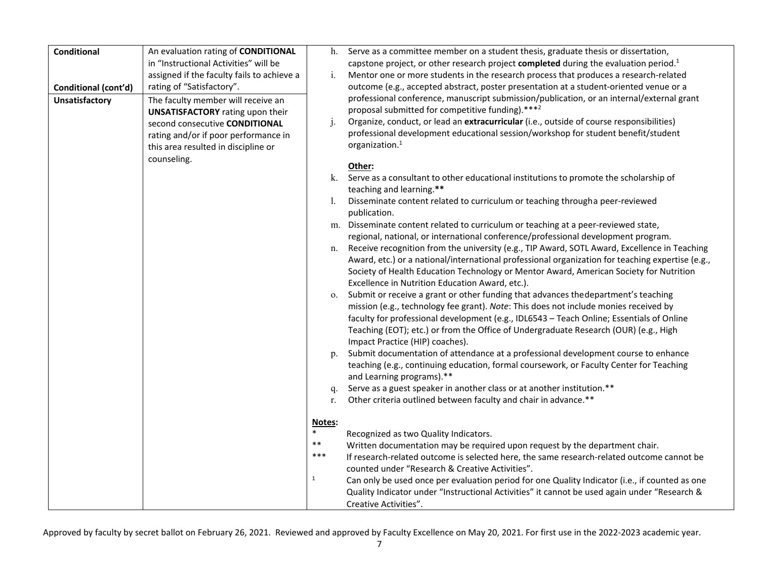| <b>Conditional</b>    | An evaluation rating of CONDITIONAL        | h.           | Serve as a committee member on a student thesis, graduate thesis or dissertation,                                                     |
|-----------------------|--------------------------------------------|--------------|---------------------------------------------------------------------------------------------------------------------------------------|
|                       | in "Instructional Activities" will be      |              | capstone project, or other research project completed during the evaluation period. <sup>1</sup>                                      |
|                       | assigned if the faculty fails to achieve a | i.           | Mentor one or more students in the research process that produces a research-related                                                  |
| Conditional (cont'd)  | rating of "Satisfactory".                  |              | outcome (e.g., accepted abstract, poster presentation at a student-oriented venue or a                                                |
| <b>Unsatisfactory</b> | The faculty member will receive an         |              | professional conference, manuscript submission/publication, or an internal/external grant                                             |
|                       | <b>UNSATISFACTORY</b> rating upon their    |              | proposal submitted for competitive funding).***2                                                                                      |
|                       | second consecutive CONDITIONAL             | j.           | Organize, conduct, or lead an extracurricular (i.e., outside of course responsibilities)                                              |
|                       | rating and/or if poor performance in       |              | professional development educational session/workshop for student benefit/student                                                     |
|                       | this area resulted in discipline or        |              | organization. <sup>1</sup>                                                                                                            |
|                       | counseling.                                |              |                                                                                                                                       |
|                       |                                            |              | Other:                                                                                                                                |
|                       |                                            | k.           | Serve as a consultant to other educational institutions to promote the scholarship of                                                 |
|                       |                                            |              | teaching and learning.**                                                                                                              |
|                       |                                            | Ι.           | Disseminate content related to curriculum or teaching through a peer-reviewed                                                         |
|                       |                                            |              | publication.                                                                                                                          |
|                       |                                            |              | m. Disseminate content related to curriculum or teaching at a peer-reviewed state,                                                    |
|                       |                                            |              | regional, national, or international conference/professional development program.                                                     |
|                       |                                            | n.           | Receive recognition from the university (e.g., TIP Award, SOTL Award, Excellence in Teaching                                          |
|                       |                                            |              | Award, etc.) or a national/international professional organization for teaching expertise (e.g.,                                      |
|                       |                                            |              | Society of Health Education Technology or Mentor Award, American Society for Nutrition                                                |
|                       |                                            |              | Excellence in Nutrition Education Award, etc.).<br>Submit or receive a grant or other funding that advances the department's teaching |
|                       |                                            | 0.           | mission (e.g., technology fee grant). Note: This does not include monies received by                                                  |
|                       |                                            |              | faculty for professional development (e.g., IDL6543 - Teach Online; Essentials of Online                                              |
|                       |                                            |              | Teaching (EOT); etc.) or from the Office of Undergraduate Research (OUR) (e.g., High                                                  |
|                       |                                            |              | Impact Practice (HIP) coaches).                                                                                                       |
|                       |                                            | p.           | Submit documentation of attendance at a professional development course to enhance                                                    |
|                       |                                            |              | teaching (e.g., continuing education, formal coursework, or Faculty Center for Teaching                                               |
|                       |                                            |              | and Learning programs).**                                                                                                             |
|                       |                                            | q.           | Serve as a guest speaker in another class or at another institution.**                                                                |
|                       |                                            | r.           | Other criteria outlined between faculty and chair in advance.**                                                                       |
|                       |                                            |              |                                                                                                                                       |
|                       |                                            | Notes:       |                                                                                                                                       |
|                       |                                            | $\ast$       | Recognized as two Quality Indicators.                                                                                                 |
|                       |                                            | $***$        | Written documentation may be required upon request by the department chair.                                                           |
|                       |                                            | $***$        | If research-related outcome is selected here, the same research-related outcome cannot be                                             |
|                       |                                            |              | counted under "Research & Creative Activities".                                                                                       |
|                       |                                            | $\mathbf{1}$ | Can only be used once per evaluation period for one Quality Indicator (i.e., if counted as one                                        |
|                       |                                            |              | Quality Indicator under "Instructional Activities" it cannot be used again under "Research &                                          |
|                       |                                            |              | Creative Activities".                                                                                                                 |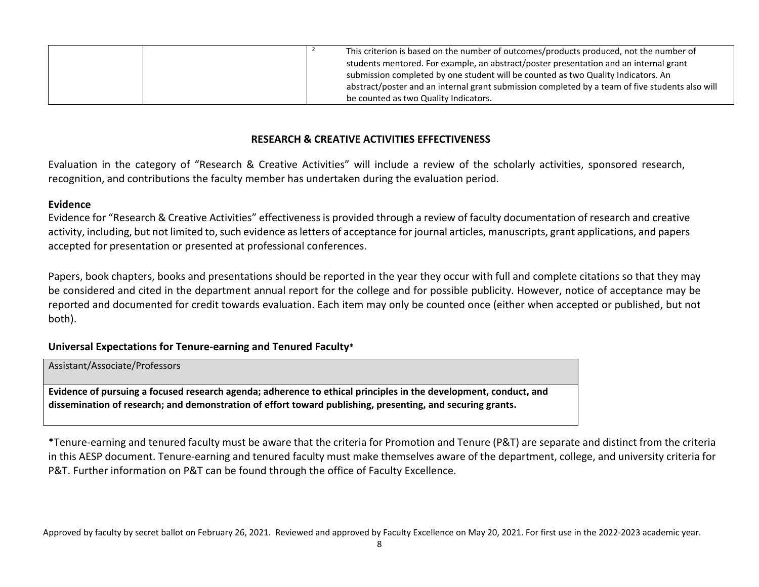| This criterion is based on the number of outcomes/products produced, not the number of<br>students mentored. For example, an abstract/poster presentation and an internal grant<br>submission completed by one student will be counted as two Quality Indicators. An |  |
|----------------------------------------------------------------------------------------------------------------------------------------------------------------------------------------------------------------------------------------------------------------------|--|
| abstract/poster and an internal grant submission completed by a team of five students also will<br>be counted as two Quality Indicators.                                                                                                                             |  |

### **RESEARCH & CREATIVE ACTIVITIES EFFECTIVENESS**

Evaluation in the category of "Research & Creative Activities" will include a review of the scholarly activities, sponsored research, recognition, and contributions the faculty member has undertaken during the evaluation period.

#### **Evidence**

Evidence for "Research & Creative Activities" effectiveness is provided through a review of faculty documentation of research and creative activity, including, but not limited to, such evidence as letters of acceptance for journal articles, manuscripts, grant applications, and papers accepted for presentation or presented at professional conferences.

Papers, book chapters, books and presentations should be reported in the year they occur with full and complete citations so that they may be considered and cited in the department annual report for the college and for possible publicity. However, notice of acceptance may be reported and documented for credit towards evaluation. Each item may only be counted once (either when accepted or published, but not both).

### **Universal Expectations for Tenure-earning and Tenured Faculty\***

Assistant/Associate/Professors

**Evidence of pursuing a focused research agenda; adherence to ethical principles in the development, conduct, and dissemination of research; and demonstration of effort toward publishing, presenting, and securing grants.**

\*Tenure-earning and tenured faculty must be aware that the criteria for Promotion and Tenure (P&T) are separate and distinct from the criteria in this AESP document. Tenure-earning and tenured faculty must make themselves aware of the department, college, and university criteria for P&T. Further information on P&T can be found through the office of Faculty Excellence.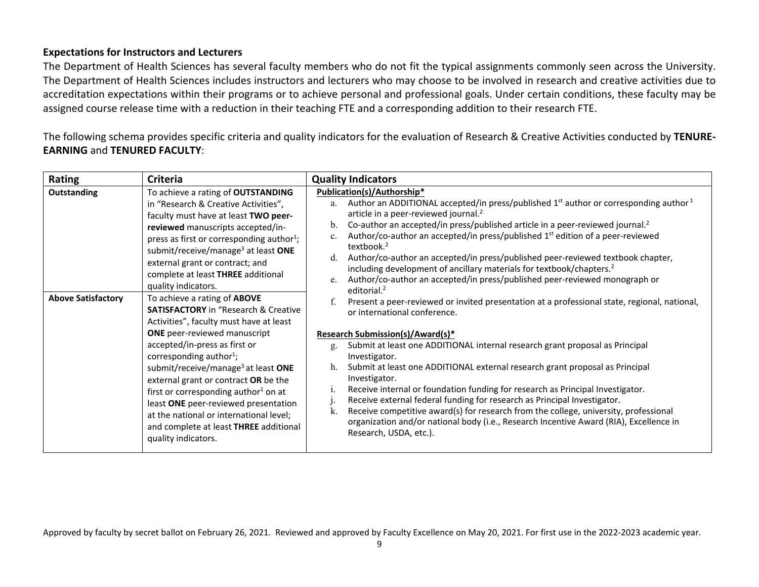### **Expectations for Instructors and Lecturers**

The Department of Health Sciences has several faculty members who do not fit the typical assignments commonly seen across the University. The Department of Health Sciences includes instructors and lecturers who may choose to be involved in research and creative activities due to accreditation expectations within their programs or to achieve personal and professional goals. Under certain conditions, these faculty may be assigned course release time with a reduction in their teaching FTE and a corresponding addition to their research FTE.

The following schema provides specific criteria and quality indicators for the evaluation of Research & Creative Activities conducted by **TENURE-EARNING** and **TENURED FACULTY**:

| Rating                                   | Criteria                                                                                                                                                                                                                                                                                                                                                                                                                                                                                      | <b>Quality Indicators</b>                                                                                                                                                                                                                                                                                                                                                                                                                                                                                                                                                                                                                                                                                                                                                                                                                        |
|------------------------------------------|-----------------------------------------------------------------------------------------------------------------------------------------------------------------------------------------------------------------------------------------------------------------------------------------------------------------------------------------------------------------------------------------------------------------------------------------------------------------------------------------------|--------------------------------------------------------------------------------------------------------------------------------------------------------------------------------------------------------------------------------------------------------------------------------------------------------------------------------------------------------------------------------------------------------------------------------------------------------------------------------------------------------------------------------------------------------------------------------------------------------------------------------------------------------------------------------------------------------------------------------------------------------------------------------------------------------------------------------------------------|
| Outstanding<br><b>Above Satisfactory</b> | To achieve a rating of OUTSTANDING<br>in "Research & Creative Activities",<br>faculty must have at least TWO peer-<br>reviewed manuscripts accepted/in-<br>press as first or corresponding author <sup>1</sup> ;<br>submit/receive/manage <sup>3</sup> at least ONE<br>external grant or contract; and<br>complete at least THREE additional<br>quality indicators.<br>To achieve a rating of ABOVE<br><b>SATISFACTORY</b> in "Research & Creative<br>Activities", faculty must have at least | Publication(s)/Authorship*<br>Author an ADDITIONAL accepted/in press/published $1st$ author or corresponding author $1st$<br>a.<br>article in a peer-reviewed journal. <sup>2</sup><br>Co-author an accepted/in press/published article in a peer-reviewed journal. <sup>2</sup><br>b.<br>Author/co-author an accepted/in press/published 1 <sup>st</sup> edition of a peer-reviewed<br>c.<br>textbook. <sup>2</sup><br>Author/co-author an accepted/in press/published peer-reviewed textbook chapter,<br>d.<br>including development of ancillary materials for textbook/chapters. <sup>2</sup><br>Author/co-author an accepted/in press/published peer-reviewed monograph or<br>e.<br>editorial. <sup>2</sup><br>Present a peer-reviewed or invited presentation at a professional state, regional, national,<br>or international conference. |
|                                          | <b>ONE</b> peer-reviewed manuscript<br>accepted/in-press as first or<br>corresponding author <sup>1</sup> ;<br>submit/receive/manage <sup>3</sup> at least ONE<br>external grant or contract OR be the<br>first or corresponding author <sup>1</sup> on at<br>least ONE peer-reviewed presentation<br>at the national or international level;<br>and complete at least THREE additional<br>quality indicators.                                                                                | Research Submission(s)/Award(s)*<br>Submit at least one ADDITIONAL internal research grant proposal as Principal<br>g.<br>Investigator.<br>Submit at least one ADDITIONAL external research grant proposal as Principal<br>h.<br>Investigator.<br>Receive internal or foundation funding for research as Principal Investigator.<br>1.<br>Receive external federal funding for research as Principal Investigator.<br>$\cdot$<br>Receive competitive award(s) for research from the college, university, professional<br>k.<br>organization and/or national body (i.e., Research Incentive Award (RIA), Excellence in<br>Research, USDA, etc.).                                                                                                                                                                                                  |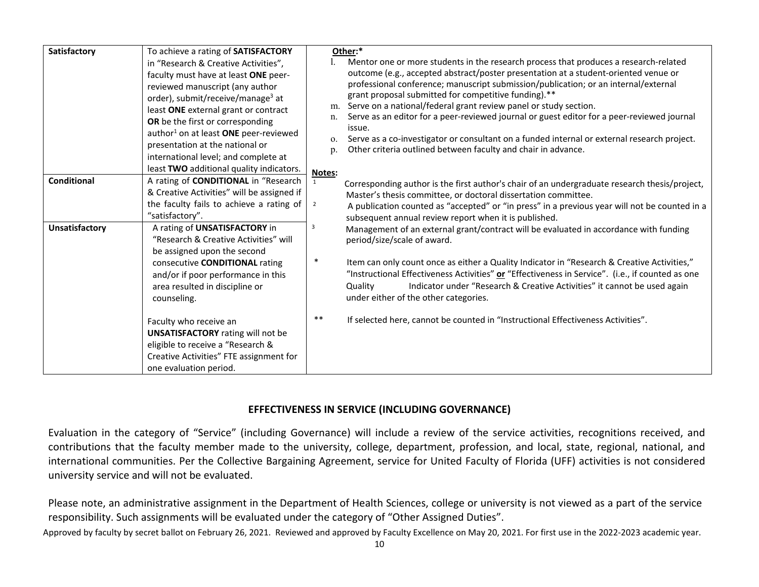| Satisfactory          | To achieve a rating of SATISFACTORY               |                | Other:*                                                                                               |
|-----------------------|---------------------------------------------------|----------------|-------------------------------------------------------------------------------------------------------|
|                       | in "Research & Creative Activities",              |                | Mentor one or more students in the research process that produces a research-related                  |
|                       | faculty must have at least ONE peer-              |                | outcome (e.g., accepted abstract/poster presentation at a student-oriented venue or                   |
|                       | reviewed manuscript (any author                   |                | professional conference; manuscript submission/publication; or an internal/external                   |
|                       | order), submit/receive/manage <sup>3</sup> at     |                | grant proposal submitted for competitive funding).**                                                  |
|                       | least ONE external grant or contract              | m.             | Serve on a national/federal grant review panel or study section.                                      |
|                       | OR be the first or corresponding                  | n.             | Serve as an editor for a peer-reviewed journal or guest editor for a peer-reviewed journal            |
|                       | author <sup>1</sup> on at least ONE peer-reviewed |                | issue.<br>Serve as a co-investigator or consultant on a funded internal or external research project. |
|                       | presentation at the national or                   | О.<br>p.       | Other criteria outlined between faculty and chair in advance.                                         |
|                       | international level; and complete at              |                |                                                                                                       |
|                       | least TWO additional quality indicators.          | Notes:         |                                                                                                       |
| <b>Conditional</b>    | A rating of CONDITIONAL in "Research              |                | Corresponding author is the first author's chair of an undergraduate research thesis/project,         |
|                       | & Creative Activities" will be assigned if        | $\overline{2}$ | Master's thesis committee, or doctoral dissertation committee.                                        |
|                       | the faculty fails to achieve a rating of          |                | A publication counted as "accepted" or "in press" in a previous year will not be counted in a         |
|                       | "satisfactory".                                   |                | subsequent annual review report when it is published.                                                 |
| <b>Unsatisfactory</b> | A rating of UNSATISFACTORY in                     | 3              | Management of an external grant/contract will be evaluated in accordance with funding                 |
|                       | "Research & Creative Activities" will             |                | period/size/scale of award.                                                                           |
|                       | be assigned upon the second                       |                |                                                                                                       |
|                       | consecutive CONDITIONAL rating                    | $\ast$         | Item can only count once as either a Quality Indicator in "Research & Creative Activities,"           |
|                       | and/or if poor performance in this                |                | "Instructional Effectiveness Activities" or "Effectiveness in Service". (i.e., if counted as one      |
|                       | area resulted in discipline or                    |                | Indicator under "Research & Creative Activities" it cannot be used again<br>Quality                   |
|                       | counseling.                                       |                | under either of the other categories.                                                                 |
|                       | Faculty who receive an                            | $***$          | If selected here, cannot be counted in "Instructional Effectiveness Activities".                      |
|                       | <b>UNSATISFACTORY</b> rating will not be          |                |                                                                                                       |
|                       | eligible to receive a "Research &                 |                |                                                                                                       |
|                       | Creative Activities" FTE assignment for           |                |                                                                                                       |
|                       | one evaluation period.                            |                |                                                                                                       |

### **EFFECTIVENESS IN SERVICE (INCLUDING GOVERNANCE)**

Evaluation in the category of "Service" (including Governance) will include a review of the service activities, recognitions received, and contributions that the faculty member made to the university, college, department, profession, and local, state, regional, national, and international communities. Per the Collective Bargaining Agreement, service for United Faculty of Florida (UFF) activities is not considered university service and will not be evaluated.

Please note, an administrative assignment in the Department of Health Sciences, college or university is not viewed as a part of the service responsibility. Such assignments will be evaluated under the category of "Other Assigned Duties".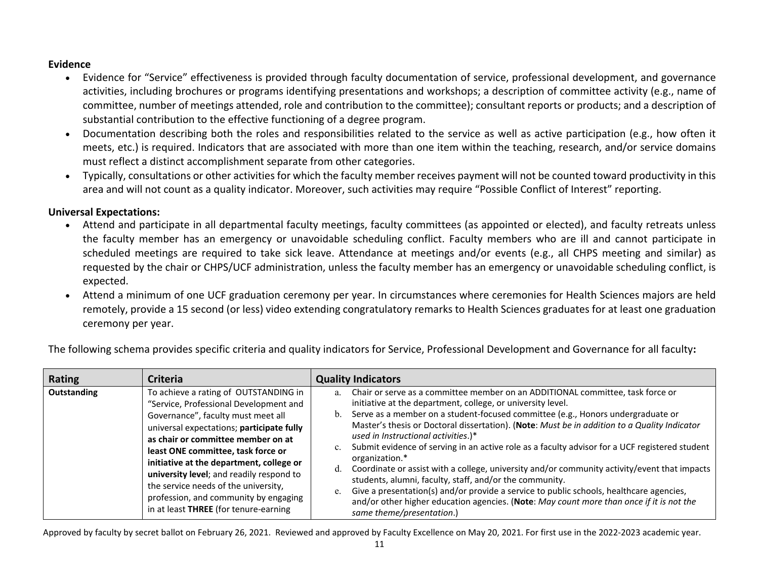### **Evidence**

- Evidence for "Service" effectiveness is provided through faculty documentation of service, professional development, and governance activities, including brochures or programs identifying presentations and workshops; a description of committee activity (e.g., name of committee, number of meetings attended, role and contribution to the committee); consultant reports or products; and a description of substantial contribution to the effective functioning of a degree program.
- Documentation describing both the roles and responsibilities related to the service as well as active participation (e.g., how often it meets, etc.) is required. Indicators that are associated with more than one item within the teaching, research, and/or service domains must reflect a distinct accomplishment separate from other categories.
- Typically, consultations or other activities for which the faculty member receives payment will not be counted toward productivity in this area and will not count as a quality indicator. Moreover, such activities may require "Possible Conflict of Interest" reporting.

### **Universal Expectations:**

- Attend and participate in all departmental faculty meetings, faculty committees (as appointed or elected), and faculty retreats unless the faculty member has an emergency or unavoidable scheduling conflict. Faculty members who are ill and cannot participate in scheduled meetings are required to take sick leave. Attendance at meetings and/or events (e.g., all CHPS meeting and similar) as requested by the chair or CHPS/UCF administration, unless the faculty member has an emergency or unavoidable scheduling conflict, is expected.
- Attend a minimum of one UCF graduation ceremony per year. In circumstances where ceremonies for Health Sciences majors are held remotely, provide a 15 second (or less) video extending congratulatory remarks to Health Sciences graduates for at least one graduation ceremony per year.

The following schema provides specific criteria and quality indicators for Service, Professional Development and Governance for all faculty**:**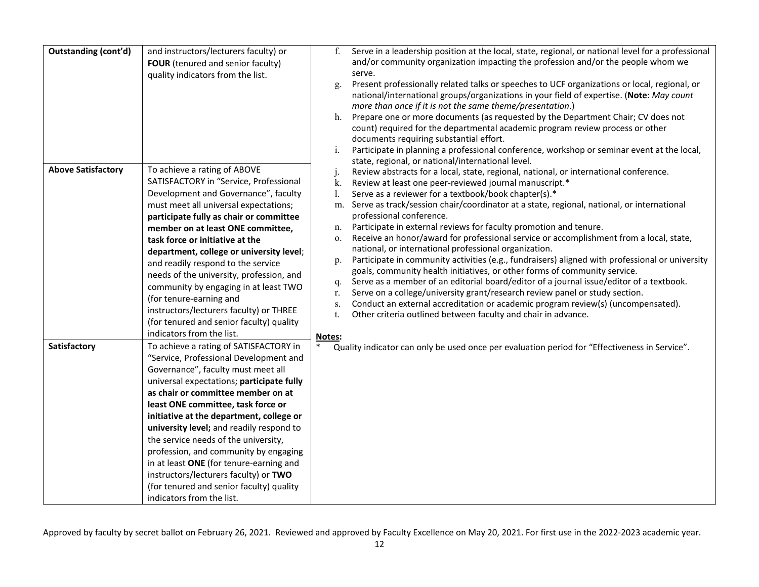| <b>Outstanding (cont'd)</b> | and instructors/lecturers faculty) or<br>FOUR (tenured and senior faculty)<br>quality indicators from the list.                                                                                                                                                                                                                                                                                                                                                                                                                                                                                  | Serve in a leadership position at the local, state, regional, or national level for a professional<br>f.<br>and/or community organization impacting the profession and/or the people whom we<br>serve.<br>Present professionally related talks or speeches to UCF organizations or local, regional, or<br>g.<br>national/international groups/organizations in your field of expertise. (Note: May count<br>more than once if it is not the same theme/presentation.)<br>Prepare one or more documents (as requested by the Department Chair; CV does not<br>h.<br>count) required for the departmental academic program review process or other<br>documents requiring substantial effort.<br>Participate in planning a professional conference, workshop or seminar event at the local,<br>i.<br>state, regional, or national/international level.                                                                                                                                                                                                                                                                                                          |
|-----------------------------|--------------------------------------------------------------------------------------------------------------------------------------------------------------------------------------------------------------------------------------------------------------------------------------------------------------------------------------------------------------------------------------------------------------------------------------------------------------------------------------------------------------------------------------------------------------------------------------------------|---------------------------------------------------------------------------------------------------------------------------------------------------------------------------------------------------------------------------------------------------------------------------------------------------------------------------------------------------------------------------------------------------------------------------------------------------------------------------------------------------------------------------------------------------------------------------------------------------------------------------------------------------------------------------------------------------------------------------------------------------------------------------------------------------------------------------------------------------------------------------------------------------------------------------------------------------------------------------------------------------------------------------------------------------------------------------------------------------------------------------------------------------------------|
| <b>Above Satisfactory</b>   | To achieve a rating of ABOVE<br>SATISFACTORY in "Service, Professional<br>Development and Governance", faculty<br>must meet all universal expectations;<br>participate fully as chair or committee<br>member on at least ONE committee,<br>task force or initiative at the<br>department, college or university level;<br>and readily respond to the service<br>needs of the university, profession, and<br>community by engaging in at least TWO<br>(for tenure-earning and<br>instructors/lecturers faculty) or THREE<br>(for tenured and senior faculty) quality<br>indicators from the list. | Review abstracts for a local, state, regional, national, or international conference.<br>$\mathbf{J}$<br>k.<br>Review at least one peer-reviewed journal manuscript.*<br>Serve as a reviewer for a textbook/book chapter(s).*<br>I.<br>Serve as track/session chair/coordinator at a state, regional, national, or international<br>m.<br>professional conference.<br>Participate in external reviews for faculty promotion and tenure.<br>n.<br>Receive an honor/award for professional service or accomplishment from a local, state,<br>0.<br>national, or international professional organization.<br>Participate in community activities (e.g., fundraisers) aligned with professional or university<br>p.<br>goals, community health initiatives, or other forms of community service.<br>Serve as a member of an editorial board/editor of a journal issue/editor of a textbook.<br>q.<br>Serve on a college/university grant/research review panel or study section.<br>r.<br>Conduct an external accreditation or academic program review(s) (uncompensated).<br>s.<br>Other criteria outlined between faculty and chair in advance.<br>t.<br>Notes: |
| Satisfactory                | To achieve a rating of SATISFACTORY in<br>"Service, Professional Development and<br>Governance", faculty must meet all<br>universal expectations; participate fully<br>as chair or committee member on at<br>least ONE committee, task force or<br>initiative at the department, college or<br>university level; and readily respond to<br>the service needs of the university,<br>profession, and community by engaging<br>in at least ONE (for tenure-earning and<br>instructors/lecturers faculty) or TWO<br>(for tenured and senior faculty) quality<br>indicators from the list.            | Quality indicator can only be used once per evaluation period for "Effectiveness in Service".                                                                                                                                                                                                                                                                                                                                                                                                                                                                                                                                                                                                                                                                                                                                                                                                                                                                                                                                                                                                                                                                 |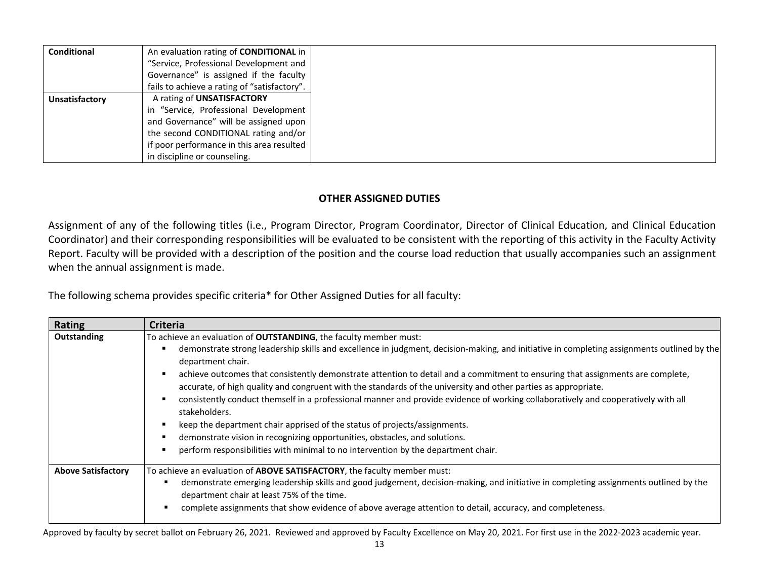| <b>Conditional</b> | An evaluation rating of <b>CONDITIONAL</b> in |
|--------------------|-----------------------------------------------|
|                    | "Service, Professional Development and        |
|                    | Governance" is assigned if the faculty        |
|                    | fails to achieve a rating of "satisfactory".  |
| Unsatisfactory     | A rating of UNSATISFACTORY                    |
|                    | in "Service, Professional Development         |
|                    | and Governance" will be assigned upon         |
|                    | the second CONDITIONAL rating and/or          |
|                    | if poor performance in this area resulted     |
|                    | in discipline or counseling.                  |

### **OTHER ASSIGNED DUTIES**

Assignment of any of the following titles (i.e., Program Director, Program Coordinator, Director of Clinical Education, and Clinical Education Coordinator) and their corresponding responsibilities will be evaluated to be consistent with the reporting of this activity in the Faculty Activity Report. Faculty will be provided with a description of the position and the course load reduction that usually accompanies such an assignment when the annual assignment is made.

The following schema provides specific criteria\* for Other Assigned Duties for all faculty:

| Rating                    | <b>Criteria</b>                                                                                                                                                                                                                                  |  |  |
|---------------------------|--------------------------------------------------------------------------------------------------------------------------------------------------------------------------------------------------------------------------------------------------|--|--|
| Outstanding               | To achieve an evaluation of OUTSTANDING, the faculty member must:                                                                                                                                                                                |  |  |
|                           | demonstrate strong leadership skills and excellence in judgment, decision-making, and initiative in completing assignments outlined by the<br>department chair.                                                                                  |  |  |
|                           | achieve outcomes that consistently demonstrate attention to detail and a commitment to ensuring that assignments are complete,<br>accurate, of high quality and congruent with the standards of the university and other parties as appropriate. |  |  |
|                           | consistently conduct themself in a professional manner and provide evidence of working collaboratively and cooperatively with all<br>stakeholders.                                                                                               |  |  |
|                           | keep the department chair apprised of the status of projects/assignments.                                                                                                                                                                        |  |  |
|                           | demonstrate vision in recognizing opportunities, obstacles, and solutions.                                                                                                                                                                       |  |  |
|                           | perform responsibilities with minimal to no intervention by the department chair.                                                                                                                                                                |  |  |
| <b>Above Satisfactory</b> | To achieve an evaluation of ABOVE SATISFACTORY, the faculty member must:                                                                                                                                                                         |  |  |
|                           | demonstrate emerging leadership skills and good judgement, decision-making, and initiative in completing assignments outlined by the<br>department chair at least 75% of the time.                                                               |  |  |
|                           | complete assignments that show evidence of above average attention to detail, accuracy, and completeness.                                                                                                                                        |  |  |